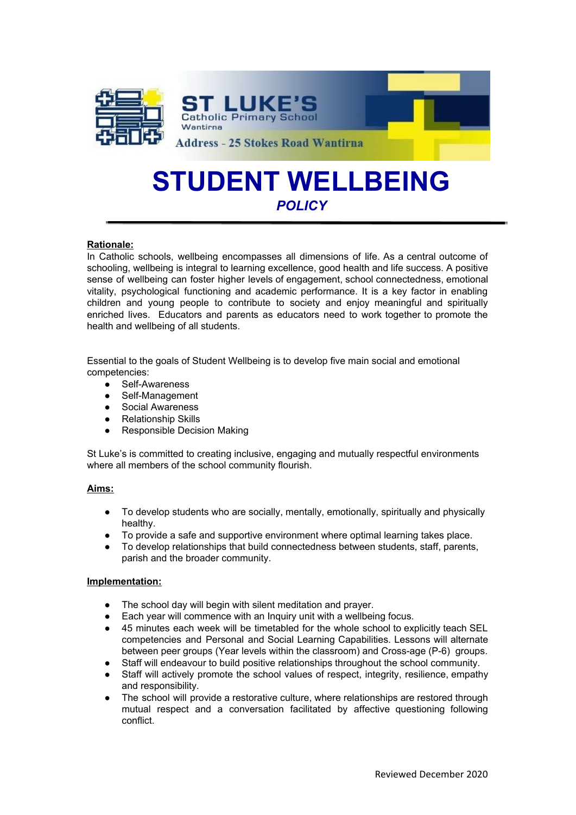

# **STUDENT WELLBEING** *POLICY*

## **Rationale:**

In Catholic schools, wellbeing encompasses all dimensions of life. As a central outcome of schooling, wellbeing is integral to learning excellence, good health and life success. A positive sense of wellbeing can foster higher levels of engagement, school connectedness, emotional vitality, psychological functioning and academic performance. It is a key factor in enabling children and young people to contribute to society and enjoy meaningful and spiritually enriched lives. Educators and parents as educators need to work together to promote the health and wellbeing of all students.

Essential to the goals of Student Wellbeing is to develop five main social and emotional competencies:

- Self-Awareness<br>● Self-Manageme
- Self-Management
- Social Awareness
- **Relationship Skills**
- **Responsible Decision Making**

St Luke's is committed to creating inclusive, engaging and mutually respectful environments where all members of the school community flourish.

### **Aims:**

- To develop students who are socially, mentally, emotionally, spiritually and physically healthy.
- To provide a safe and supportive environment where optimal learning takes place.
- To develop relationships that build connectedness between students, staff, parents, parish and the broader community.

### **Implementation:**

- The school day will begin with silent meditation and prayer.
- Each year will commence with an Inquiry unit with a wellbeing focus.
- 45 minutes each week will be timetabled for the whole school to explicitly teach SEL competencies and Personal and Social Learning Capabilities. Lessons will alternate between peer groups (Year levels within the classroom) and Cross-age (P-6) groups.
- Staff will endeavour to build positive relationships throughout the school community.
- Staff will actively promote the school values of respect, integrity, resilience, empathy and responsibility.
- The school will provide a restorative culture, where relationships are restored through mutual respect and a conversation facilitated by affective questioning following conflict.